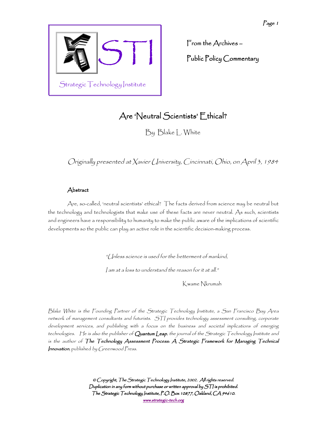

From the Archives – – Public Policy Commentary

# Are 'Neutral Scientists' Ethical?

By Blake L. White

Originally presented at Xavier University, Cincinnati, Ohio, on April 3, 1984

# Abstract

Are, so-called, 'neutral scientists' ethical? The facts derived from science may be neutral but the technology and technologists that make use of these facts are never neutral. As such, scientists and engineers have a responsibility to humanity to make the public aware of the implications of scientific developments so the public can play an active role in the scientific decision-making process.

"Unless science is used for the betterment of mankind,

I am at a loss to understand the reason for it at all."

Kwame Nkrumah

Blake White is the Founding Partner of the Strategic Technology Institute, a San Francisco Bay Area network of management consultants and futurists. STI provides technology assessment consulting, corporate development services, and publishing with a focus on the business and societal implications of emerging technologies. He is also the publisher of Quantum Leap, the journal of the Strategic Technology Institute and is the author of The Technology Assessment Process: A Strategic Framework for Managing Technical Innovation, published by Greenwood Press.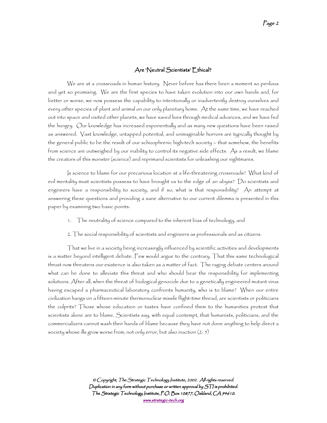## Are 'Neutral Scientists' Ethical?

We are at a crossroads in human history. Never before has there been a moment so perilous and yet so promising. We are the first species to have taken evolution into our own hands and, for better or worse, we now possess the capability to intentionally or inadvertently destroy ourselves and every other species of plant and animal on our only planetary home. At the same time, we have reached out into space and visited other planets, we have saved lives through medical advances, and we have fed the hungry. Our knowledge has increased exponentially and as many new questions have been raised as answered. Vast knowledge, untapped potential, and unimaginable horrors are typically thought by the general public to be the result of our schizophrenic high-tech society – that somehow, the benefits from science are outweighed by our inability to control its negative side effects. As a result, we blame the creators of this monster (science) and reprimand scientists for unleashing our nightmares.

Is science to blame for our precarious location at a life-threatening crossroads? What kind of evil mentality must scientists possess to have brought us to the edge of an abyss? Do scientists and engineers have a responsibility to society, and if so, what is that responsibility? An attempt at answering these questions and providing a sane alternative to our current dilemma is presented in this paper by examining two basic points:

- 1. The neutrality of science compared to the inherent bias of technology, and
- 2. The social responsibility of scientists and engineers as professionals and as citizens.

That we live in a society being increasingly influenced by scientific activities and developments is a matter beyond intelligent debate. Few would argue to the contrary. That this same technological thrust now threatens our existence is also taken as a matter of fact. The raging debate centers around what can be done to alleviate this threat and who should bear the responsibility for implementing solutions. After all, when the threat of biological genocide due to a genetically engineered mutant virus having escaped a pharmaceutical laboratory confronts humanity, who is to blame? When our entire civilization hangs on a fifteen-minute thermonuclear missile flight-time thread, are scientists or politicians the culprits? Those whose education or tastes have confined them to the humanities protest that scientists alone are to blame. Scientists say, with equal contempt, that humanists, politicians, and the commercializers cannot wash their hands of blame because they have not done anything to help direct a society whose ills grow worse from, not only error, but also inaction (2: 5)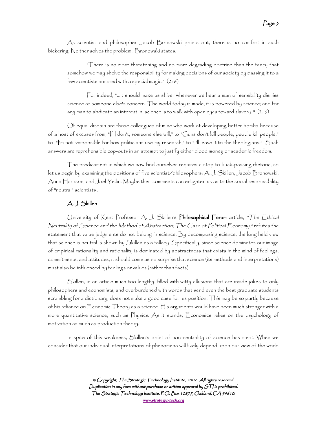As scientist and philosopher Jacob Bronowski points out, there is no comfort in such bickering. Neither solves the problem. Bronowski states,

"There is no more threatening and no more degrading doctrine than the fancy that somehow we may shelve the responsibility for making decisions of our society by passing it to a few scientists armored with a special magic."  $(2: 6)$ 

For indeed, "…it should make us shiver whenever we hear a man of sensibility dismiss science as someone else's concern. The world today is made, it is powered by science; and for any man to abdicate an interest in science is to walk with open eyes toward slavery. " (2: 6)

Of equal disdain are those colleagues of mine who work at developing better bombs because of a host of excuses from, "If I don't, someone else will," to "Guns don't kill people, people kill people," to "I'm not responsible for how politicians use my research," to "I'll leave it to the theologians." Such answers are reprehensible cop-outs in an attempt to justify either blood money or academic freedom.

The predicament in which we now find ourselves requires a stop to buck-passing rhetoric, so let us begin by examining the positions of five scientist/philosophers: A. J. Skillen, Jacob Bronowski, Anna Harrison, and Joel Yellin. Maybe their comments can enlighten us as to the social responsibility of "neutral" scientists .

## A. J. Skillen

University of Kent Professor A. J. Skillen's Philosophical Forum article, "The Ethical Neutrality of Science and the Method of Abstraction; The Case of Political Economy," refutes the statement that value judgments do not belong in science. By decomposing science, the long held view that science is neutral is shown by Skillen as a fallacy. Specifically, since science dominates our image of empirical rationality and rationality is dominated by abstractness that exists in the mind of feelings, commitments, and attitudes, it should come as no surprise that science (its methods and interpretations) must also be influenced by feelings or values (rather than facts).

Skillen, in an article much too lengthy, filled with witty allusions that are inside jokes to only philosophers and economists, and overburdened with words that send even the best graduate students scrambling for a dictionary, does not make a good case for his position. This may be so partly because of his reliance on Economic Theory as a science. His arguments would have been much stronger with a more quantitative science, such as Physics. As it stands, Economics relies on the psychology of motivation as much as production theory.

In spite of this weakness, Skillen's point of non-neutrality of science has merit. When we consider that our individual interpretations of phenomena will likely depend upon our view of the world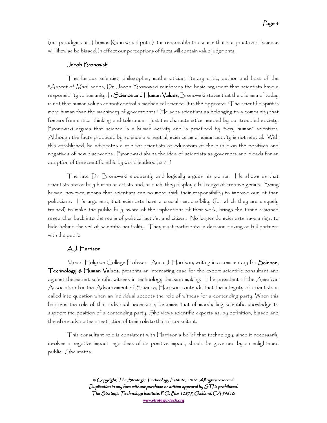(our paradigms as Thomas Kuhn would put it) it is reasonable to assume that our practice of science will likewise be biased. In effect our perceptions of facts will contain value judgments.

#### Jacob Bronowski

The famous scientist, philosopher, mathematician, literary critic, author and host of the "Ascent of Man" series, Dr. Jacob Bronowski reinforces the basic argument that scientists have a responsibility to humanity. In  $S$ cience and Human Values, Bronowski states that the dilemma of today is not that human values cannot control a mechanical science. It is the opposite: "The scientific spirit is more human than the machinery of governments." He sees scientists as belonging to a community that fosters free critical thinking and tolerance – just the characteristics needed by our troubled society. Bronowski argues that science is a human activity and is practiced by "very human" scientists. Although the facts produced by science are neutral, science as a human activity is not neutral. With this established, he advocates a role for scientists as educators of the public on the positives and negatives of new discoveries. Bronowski shuns the idea of scientists as governors and pleads for an adoption of the scientific ethic by world leaders. (2: 71)

The late Dr. Bronowski eloquently and logically argues his points. He shows us that scientists are as fully human as artists and, as such, they display a full range of creative genius. Being human, however, means that scientists can no more shirk their responsibility to improve our lot than politicians. His argument, that scientists have a crucial responsibility (for which they are uniquely trained) to make the public fully aware of the implications of their work, brings the tunnel-visioned researcher back into the realm of political activist and citizen. No longer do scientists have a right to hide behind the veil of scientific neutrality. They must participate in decision making as full partners with the public.

#### A.J. Harrison

Mount Holyoke College Professor Anna J. Harrison, writing in a commentary for Science, Technology  $\epsilon$  Human Values, presents an interesting case for the expert scientific consultant and against the expert scientific witness in technology decision-making. The president of the American Association for the Advancement of Science, Harrison contends that the integrity of scientists is called into question when an individual accepts the role of witness for a contending party. When this happens the role of that individual necessarily becomes that of marshalling scientific knowledge to support the position of a contending party. She views scientific experts as, by definition, biased and therefore advocates a restriction of their role to that of consultant.

This consultant role is consistent with Harrison's belief that technology, since it necessarily involves a negative impact regardless of its positive impact, should be governed by an enlightened public. She states: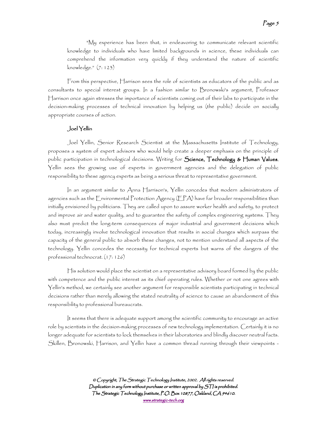"My experience has been that, in endeavoring to communicate relevant scientific knowledge to individuals who have limited backgrounds in science, these individuals can comprehend the information very quickly if they understand the nature of scientific knowledge." (7: 123)

From this perspective, Harrison sees the role of scientists as educators of the public and as consultants to special interest groups. In a fashion similar to Bronowski's argument, Professor Harrison once again stresses the importance of scientists coming out of their labs to participate in the decision-making processes of technical innovation by helping us (the public) decide on socially appropriate courses of action.

#### Joel Yellin

Joel Yellin, Senior Research Scientist at the Massachusetts Institute of Technology, proposes a system of expert advisors who would help create a deeper emphasis on the principle of public participation in technological decisions. Writing for Science, Technology & Human Values, Yellin sees the growing use of experts in government agencies and the delegation of public responsibility to these agency experts as being a serious threat to representative government.

In an argument similar to Anna Harrison's, Yellin concedes that modern administrators of agencies such as the Environmental Protection Agency (EPA) have far broader responsibilities than initially envisioned by politicians. They are called upon to assure worker health and safety, to protect and improve air and water quality, and to guarantee the safety of complex engineering systems. They also must predict the long-term consequences of major industrial and government decisions which today, increasingly involve technological innovation that results in social changes which surpass the capacity of the general public to absorb these changes, not to mention understand all aspects of the technology. Yellin concedes the necessity for technical experts but warns of the dangers of the professional technocrat. (17: 126)

His solution would place the scientist on a representative advisory board formed by the public with competence and the public interest as its chief operating rules. Whether or not one agrees with Yellin's method, we certainly see another argument for responsible scientists participating in technical decisions rather than merely allowing the stated neutrality of science to cause an abandonment of this responsibility to professional bureaucrats.

It seems that there is adequate support among the scientific community to encourage an active role by scientists in the decision-making processes of new technology implementation. Certainly it is no longer adequate for scientists to lock themselves in their laboratories and blindly discover neutral facts. Skillen, Bronowski, Harrison, and Yellin have a common thread running through their viewpoints -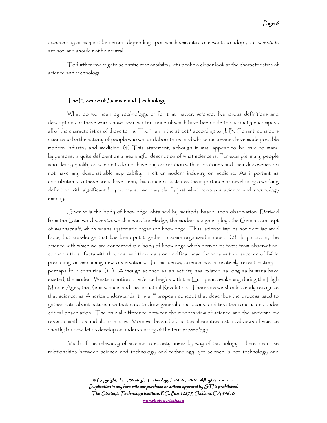science may or may not be neutral, depending upon which semantics one wants to adopt, but scientists are not, and should not be neutral.

To further investigate scientific responsibility, let us take a closer look at the characteristics of science and technology.

## The Essence of Science and Technology

What do we mean by technology, or for that matter, science? Numerous definitions and descriptions of these words have been written, none of which have been able to succinctly encompass all of the characteristics of these terms. The "man in the street," according to J. B. Conant, considers science to be the activity of people who work in laboratories and whose discoveries have made possible modern industry and medicine. (4) This statement, although it may appear to be true to many laypersons, is quite deficient as a meaningful description of what science is. For example, many people who clearly qualify as scientists do not have any association with laboratories and their discoveries do not have any demonstrable applicability in either modern industry or medicine. As important as contributions to these areas have been, this concept illustrates the importance of developing a working definition with significant key words so we may clarify just what concepts science and technology employ.

Science is the body of knowledge obtained by methods based upon observation. Derived from the Latin word scientia, which means knowledge, the modern usage employs the German concept of wisenschaft, which means systematic organized knowledge. Thus, science implies not mere isolated facts, but knowledge that has been put together in some organized manner. (2) In particular, the science with which we are concerned is a body of knowledge which derives its facts from observation, connects these facts with theories, and then tests or modifies these theories as they succeed of fail in predicting or explaining new observations. In this sense, science has a relatively recent history – perhaps four centuries. (11) Although science as an activity has existed as long as humans have existed, the modern Western notion of science begins with the European awakening during the High Middle Ages, the Renaissance, and the Industrial Revolution. Therefore we should clearly recognize that science, as America understands it, is a European concept that describes the process used to gather data about nature, use that data to draw general conclusions, and test the conclusions under critical observation. The crucial difference between the modern view of science and the ancient view rests on methods and ultimate aims. More will be said about the alternative historical views of science shortly; for now, let us develop an understanding of the term technology.

Much of the relevancy of science to society arises by way of technology. There are close relationships between science and technology and technology; yet science is not technology and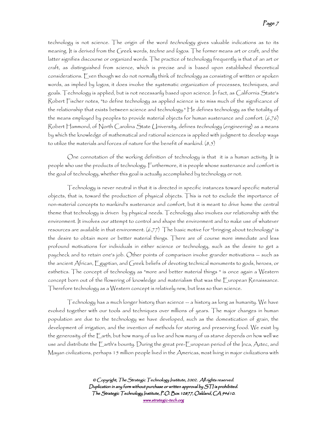technology is not science. The origin of the word technology gives valuable indications as to its meaning. It is derived from the Greek words, techne and logos. The former means art or craft, and the latter signifies discourse or organized words. The practice of technology frequently is that of an art or craft, as distinguished from science, which is precise and is based upon established theoretical considerations. Even though we do not normally think of technology as consisting of written or spoken words, as implied by logos, it does involve the systematic organization of processes, techniques, and goals. Technology is applied, but is not necessarily based upon science. In fact, as California State's Robert Fischer notes, "to define technology as applied science is to miss much of the significance of the relationship that exists between science and technology." He defines technology as the totality of the means employed by peoples to provide material objects for human sustenance and comfort. (6,76) Robert Hammond, of North Carolina State University, defines technology (engineering) as a means by which the knowledge of mathematical and rational sciences is applied with judgment to develop ways to utilize the materials and forces of nature for the benefit of mankind.  $(8,5)$ 

One connotation of the working definition of technology is that it is a human activity. It is people who use the products of technology. Furthermore, it is people whose sustenance and comfort is the goal of technology, whether this goal is actually accomplished by technology or not.

Technology is never neutral in that it is directed in specific instances toward specific material objects, that is, toward the production of physical objects. This is not to exclude the importance of non-material concepts to mankind's sustenance and comfort, but it is meant to drive home the central theme that technology is driven by physical needs. Technology also involves our relationship with the environment. It involves our attempt to control and shape the environment and to make use of whatever resources are available in that environment.  $(6,77)$  The basic motive for "bringing about technology" is the desire to obtain more or better material things. There are of course more immediate and less profound motivations for individuals in either science or technology, such as the desire to get a paycheck and to retain one's job. Other points of comparison involve grander motivations -- such as the ancient African, Egyptian, and Greek beliefs of devoting technical monuments to gods, heroes, or esthetics. The concept of technology as "more and better material things " is once again a Western concept born out of the flowering of knowledge and materialism that was the European Renaissance. Therefore technology as a Western concept is relatively new, but less so than science.

 $\top$ echnology has a much longer history than science  $-$  a history as long as humanity. We have evolved together with our tools and techniques over millions of years. The major changes in human population are due to the technology we have developed, such as the domestication of grain, the development of irrigation, and the invention of methods for storing and preserving food. We exist by the generosity of the Earth, but how many of us live and how many of us starve depends on how well we use and distribute the Earth's bounty. During the great pre-European period of the Inca, Aztec, and Mayan civilizations, perhaps 15 million people lived in the Americas, most living in major civilizations with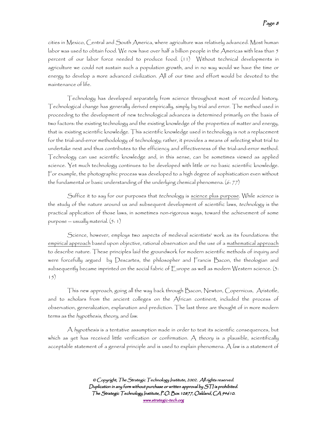cities in Mexico, Central and South America, where agriculture was relatively advanced. Most human labor was used to obtain food. We now have over half a billion people in the Americas with less than  $\mathfrak z$ percent of our labor force needed to produce food. (11) Without technical developments in agriculture we could not sustain such a population growth, and in no way would we have the time or energy to develop a more advanced civilization. All of our time and effort would be devoted to the maintenance of life.

Technology has developed separately from science throughout most of recorded history. Technological change has generally derived empirically, simply by trial and error. The method used in proceeding to the development of new technological advances is determined primarily on the basis of two factors: the existing technology and the existing knowledge of the properties of matter and energy, that is: existing scientific knowledge. This scientific knowledge used in technology is not a replacement for the trial-and-error methodology of technology; rather, it provides a means of selecting what trial to undertake next and thus contributes to the efficiency and effectiveness of the trial-and-error method. Technology can use scientific knowledge and, in this sense, can be sometimes viewed as applied science. Yet much technology continues to be developed with little or no basic scientific knowledge. For example, the photographic process was developed to a high degree of sophistication even without the fundamental or basic understanding of the underlying chemical phenomena. (6: 77)

Suffice it to say for our purposes that technology is science plus purpose. While science is the study of the nature around us and subsequent development of scientific laws, technology is the practical application of those laws, in sometimes non-rigorous ways, toward the achievement of some purpose  $-$  usually material.  $(5: 1)$ 

Science, however, employs two aspects of medieval scientists' work as its foundations: the empirical approach based upon objective, rational observation and the use of a mathematical approach to describe nature. These principles laid the groundwork for modern scientific methods of inquiry and were forcefully argued by Descartes, the philosopher and Francis Bacon, the theologian and subsequently became imprinted on the social fabric of  $\mathop{\sf Europe}\nolimits$  as well as modern Western science. (3: 15)

This new approach, going all the way back through Bacon, Newton, Copernicus, Aristotle, and to scholars from the ancient colleges on the African continent, included the process of observation, generalization, explanation and prediction. The last three are thought of in more modern terms as the hypothesis, theory, and law.

A hypothesis is a tentative assumption made in order to test its scientific consequences, but which as yet has received little verification or confirmation.  $A$  theory is a plausible, scientifically acceptable statement of a general principle and is used to explain phenomena.  $A$  law is a statement of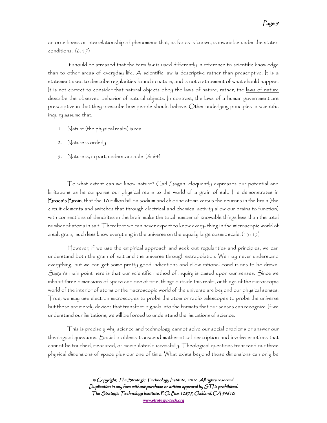an orderliness or interrelationship of phenomena that, as far as is known, is invariable under the stated conditions. (6: 47)

It should be stressed that the term law is used differently in reference to scientific knowledge than to other areas of everyday life. A scientific law is descriptive rather than prescriptive. It is a statement used to describe regularities found in nature, and is not a statement of what should happen. It is not correct to consider that natural objects obey the laws of nature; rather, the laws of nature describe the observed behavior of natural objects. In contrast, the laws of a human government are prescriptive in that they prescribe how people should behave. Other underlying principles in scientific inquiry assume that:

- 1. Nature (the physical realm) is real
- 2. Nature is orderly
- 3. Nature is, in part, understandable (6: 64)

To what extent can we know nature? Carl Sagan, eloquently expresses our potential and limitations as he compares our physical realm to the world of a grain of salt. He demonstrates in Broca's Brain, that the 10 million billion sodium and chlorine atoms versus the neurons in the brain (the circuit elements and switches that through electrical and chemical activity allow our brains to function) with connections of dendrites in the brain make the total number of knowable things less than the total number of atoms in salt. Therefore we can never expect to know every- thing in the microscopic world of a salt grain, much less know everything in the universe on the equally large cosmic scale. (13: 15)

However, if we use the empirical approach and seek out regularities and principles, we can understand both the grain of salt and the universe through extrapolation. We may never understand everything, but we can get some pretty good indications and allow rational conclusions to be drawn. Sagan's main point here is that our scientific method of inquiry is based upon our senses. Since we inhabit three dimensions of space and one of time, things outside this realm, or things of the microscopic world of the interior of atoms or the macroscopic world of the universe are beyond our physical senses. True, we may use electron microscopes to probe the atom or radio telescopes to probe the universe but these are merely devices that transform signals into the formats that our senses can recognize. If we understand our limitations, we will be forced to understand the limitations of science.

This is precisely why science and technology cannot solve our social problems or answer our theological questions. Social problems transcend mathematical description and involve emotions that cannot be touched, measured, or manipulated successfully. Theological questions transcend our three physical dimensions of space plus our one of time. What exists beyond those dimensions can only be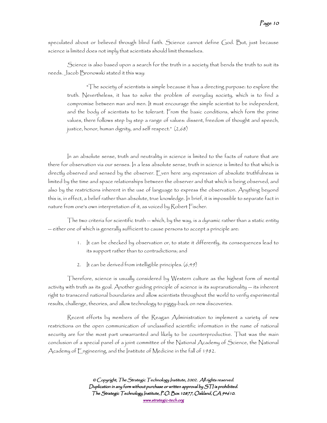speculated about or believed through blind faith. Science cannot define God. But, just because science is limited does not imply that scientists should limit themselves.

Science is also based upon a search for the truth in a society that bends the truth to suit its needs. Jacob Bronowski stated it this way:

"The society of scientists is simple because it has a directing purpose: to explore the truth. Nevertheless, it has to solve the problem of everyday society, which is to find a compromise between man and men. It must encourage the simple scientist to be independent, and the body of scientists to be tolerant. From the basic conditions, which form the prime values, there follows step by step a range of values: dissent, freedom of thought and speech, justice, honor, human dignity, and self respect." (2,68)

In an absolute sense, truth and neutrality in science is limited to the facts of nature that are there for observation via our senses. In a less absolute sense, truth in science is limited to that which is directly observed and sensed by the observer. Even here any expression of absolute truthfulness is limited by the time and space relationships between the observer and that which is being observed, and also by the restrictions inherent in the use of language to express the observation. Anything beyond this is, in effect, a belief rather than absolute, true knowledge. In brief, it is impossible to separate fact in nature from one's own interpretation of it, as voiced by Robert Fischer.

The two criteria for scientific truth  $-$  which, by the way, is a dynamic rather than a static entity -- either one of which is generally sufficient to cause persons to accept a principle are:

- 1. It can be checked by observation or, to state it differently, its consequences lead to its support rather than to contradictions; and
- 2. It can be derived from intelligible principles. (6,49)

Therefore, science is usually considered by Western culture as the highest form of mental activity with truth as its goal. Another guiding principle of science is its supranationality -- its inherent right to transcend national boundaries and allow scientists throughout the world to verify experimental results, challenge, theories, and allow technology to piggy-back on new discoveries.

Recent efforts by members of the Reagan Administration to implement a variety of new restrictions on the open communication of unclassified scientific information in the name of national security are for the most part unwarranted and likely to be counterproductive. That was the main conclusion of a special panel of a joint committee of the National Academy of Science, the National Academy of Engineering, and the Institute of Medicine in the fall of 1982.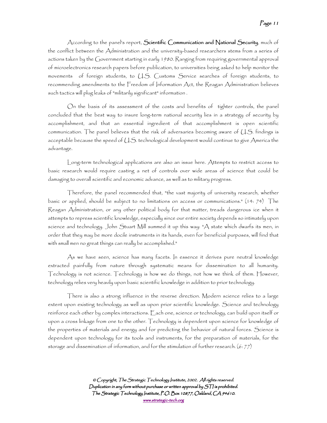According to the panel's report, Scientific Communication and National Security, much of the conflict between the Administration and the university-based researchers stems from a series of actions taken by the Government starting in early 1980. Ranging from requiring governmental approval of microelectronics research papers before publication, to universities being asked to help monitor the movements of foreign students, to U.S. Customs Service searches of foreign students, to recommending amendments to the Freedom of Information Act, the Reagan Administration believes such tactics will plug leaks of "militarily significant" information .

On the basis of its assessment of the costs and benefits of tighter controls, the panel concluded that the best way to insure long-term national security lies in a strategy of security by accomplishment, and that an essential ingredient of that accomplishment is open scientific communication. The panel believes that the risk of adversaries becoming aware of U.S. findings is acceptable because the speed of U.S. technological development would continue to give America the advantage.

Long-term technological applications are also an issue here. Attempts to restrict access to basic research would require casting a net of controls over wide areas of science that could be damaging to overall scientific and economic advance, as well as to military progress.

Therefore, the panel recommended that, "the vast majority of university research, whether basic or applied, should be subject to no limitations on access or communications." (14: 74) The Reagan Administration, or any other political body for that matter, treads dangerous ice when it attempts to repress scientific knowledge, especially since our entire society depends so intimately upon science and technology. John Stuart Mill summed it up this way: "A state which dwarfs its men, in order that they may be more docile instruments in its hands, even for beneficial purposes, will find that with small men no great things can really be accomplished."

As we have seen, science has many facets. In essence it derives pure neutral knowledge extracted painfully from nature through systematic means for dissemination to all humanity. Technology is not science. Technology is how we do things, not how we think of them. However, technology relies very heavily upon basic scientific knowledge in addition to prior technology.

There is also a strong influence in the reverse direction. Modern science relies to a large extent upon existing technology as well as upon prior scientific knowledge. Science and technology reinforce each other by complex interactions. Each one, science or technology, can build upon itself or upon a cross linkage from one to the other. Technology is dependent upon science for knowledge of the properties of materials and energy and for predicting the behavior of natural forces. Science is dependent upon technology for its tools and instruments, for the preparation of materials, for the storage and dissemination of information, and for the stimulation of further research. (6: 77)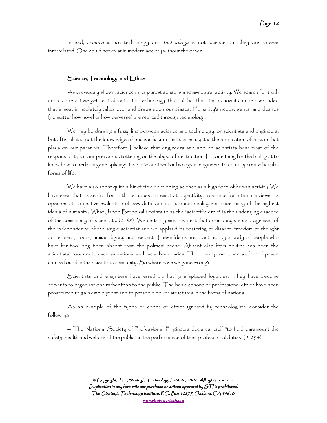Indeed, science is not technology and technology is not science but they are forever interrelated. One could not exist in modern society without the other.

#### Science,  $\top$ echnology, and  $\Xi$ thics

As previously shown, science in its purest sense is a semi-neutral activity. We search for truth and as a result we get neutral facts. It is technology, that "ah ha" that "this is how it can be used" idea that almost immediately takes over and draws upon our biases. Humanity's needs, wants, and desires (no matter how novel or how perverse) are realized through technology.

We may be drawing a fuzzy line between science and technology, or scientists and engineers, but after all it is not the knowledge of nuclear fission that scares us; it is the application of fission that plays on our paranoia. Therefore I believe that engineers and applied scientists bear most of the responsibility for our precarious tottering on the abyss of destruction. It is one thing for the biologist to know how to perform gene splicing; it is quite another for biological engineers to actually create harmful forms of life.

We have also spent quite a bit of time developing science as a high form of human activity. We have seen that its search for truth, its honest attempt at objectivity, tolerance for alternate views, its openness to objective evaluation of new data, and its supranationality epitomize many of the highest ideals of humanity. What Jacob Bronowski points to as the "scientific ethic" is the underlying essence of the community of scientists. (2: 68) We certainly must respect that community's encouragement of the independence of the single scientist and we applaud its fostering of dissent, freedom of thought and speech, honor, human dignity and respect. These ideals are practiced by a body of people who have for too long been absent from the political scene. Absent also from politics has been the scientists' cooperation across national and racial boundaries. The primary components of world peace can be found in the scientific community. So where have we gone wrong?

Scientists and engineers have erred by having misplaced loyalties. They have become servants to organizations rather than to the public. The basic canons of professional ethics have been prostituted to gain employment and to preserve power structures in the forms of nations.

As an example of the types of codes of ethics ignored by technologists, consider the following:

-- The National Society of Professional Engineers declares itself "to hold paramount the safety, health and welfare of the public" in the performance of their professional duties. (9: 294)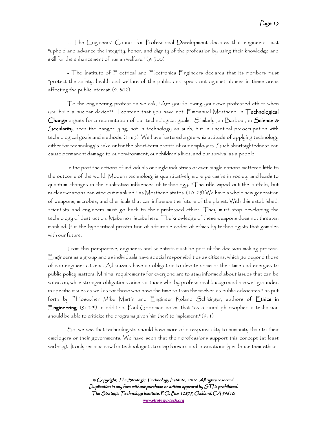-- The Engineers' Council for Professional Development declares that engineers must "uphold and advance the integrity, honor, and dignity of the profession by using their knowledge and skill for the enhancement of human welfare." (9: 300)

- The Institute of Electrical and Electronics Engineers declares that its members must "protect the safety, health and welfare of the public and speak out against abuses in these areas affecting the public interest. (9: 302)

To the engineering profession we ask, "Are you following your own professed ethics when you build a nuclear device?" I contend that you have not! Emmanuel Mesthene, in **Technological** Change argues for a reorientation of our technological goals. Similarly lan Barbour, in Science & Secularity, sees the danger lying, not in technology as such, but in uncritical preoccupation with technological goals and methods. (1: 65) We have fostered a gee-whiz attitude of applying technology either for technology's sake or for the short-term profits of our employers. Such shortsightedness can cause permanent damage to our environment, our children's lives, and our survival as a people.

In the past the actions of individuals or single industries or even single nations mattered little to the outcome of the world. Modern technology is quantitatively more pervasive in society and leads to quantum changes in the qualitative influences of technology. "The rifle wiped out the buffalo, but nuclear weapons can wipe out mankind," as Mesthene states. (10: 25) We have a whole new generation of weapons, microbes, and chemicals that can influence the future of the planet. With this established, scientists and engineers must go back to their professed ethics. They must stop developing the technology of destruction. Make no mistake here. The knowledge of these weapons does not threaten mankind. It is the hypocritical prostitution of admirable codes of ethics by technologists that gambles with our future.

From this perspective, engineers and scientists must be part of the decision-making process. Engineers as a group and as individuals have special responsibilities as citizens, which go beyond those of non-engineer citizens. All citizens have an obligation to devote some of their time and energies to public policy matters. Minimal requirements for everyone are to stay informed about issues that can be voted on, while stronger obligations arise for those who by professional background are well grounded in specific issues as well as for those who have the time to train themselves as public advocates," as put forth by Philosopher Mike Martin and Engineer Roland Schizinger, authors of **Ethics in** Engincering. (9: 291) In addition, Paul Goodman notes that "as a moral philosopher, a technician should be able to criticize the programs given him (her) to implement." (9: 1)

So, we see that technologists should have more of a responsibility to humanity than to their employers or their governments. We have seen that their professions support this concept (at least verbally). It only remains now for technologists to step forward and internationally embrace their ethics.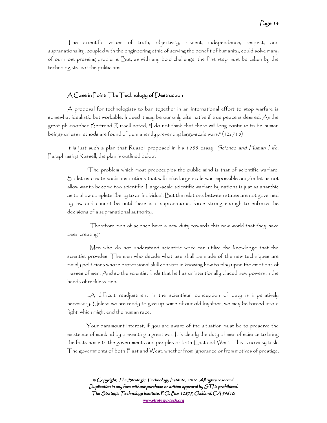The scientific values of truth, objectivity, dissent, independence, respect, and supranationality, coupled with the engineering ethic of serving the benefit of humanity, could solve many of our most pressing problems. But, as with any bold challenge, the first step must be taken by the technologists, not the politicians.

#### $A$  Case in Point: The Technology of Destruction

A proposal for technologists to ban together in an international effort to stop warfare is somewhat idealistic but workable. Indeed it may be our only alternative if true peace is desired. As the great philosopher Bertrand Russell noted, "I do not think that there will long continue to be human beings unless methods are found of permanently preventing large-scale wars." (12: 718)

It is just such a plan that Russell proposed in his 1955 essay, Science and Human Life. Paraphrasing Russell, the plan is outlined below.

"The problem which most preoccupies the public mind is that of scientific warfare. So let us create social institutions that will make large-scale war impossible and/or let us not allow war to become too scientific. Large-scale scientific warfare by nations is just as anarchic as to allow complete liberty to an individual. But the relations between states are not governed by law and cannot be until there is a supranational force strong enough to enforce the decisions of a supranational authority.

...Therefore men of science have a new duty towards this new world that they have been creating?

...Men who do not understand scientific work can utilize the knowledge that the scientist provides. The men who decide what use shall be made of the new techniques are mainly politicians whose professional skill consists in knowing how to play upon the emotions of masses of men. And so the scientist finds that he has unintentionally placed new powers in the hands of reckless men.

...A difficult readjustment in the scientists' conception of duty is imperatively necessary. Unless we are ready to give up some of our old loyalties, we may be forced into a fight, which might end the human race.

Your paramount interest, if you are aware of the situation must be to preserve the existence of mankind by preventing a great war. It is clearly the duty of men of science to bring the facts home to the governments and peoples of both East and West. This is no easy task. The governments of both East and West, whether from ignorance or from motives of prestige,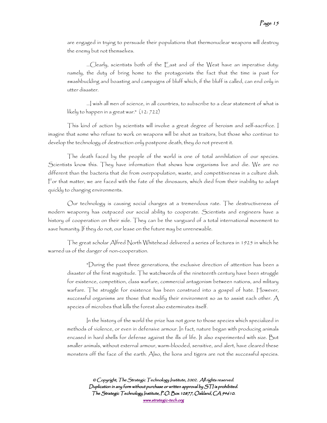are engaged in trying to persuade their populations that thermonuclear weapons will destroy the enemy but not themselves.

...Clearly, scientists both of the East and of the West have an imperative duty: namely, the duty of bring home to the protagonists the fact that the time is past for swashbuckling and boasting and campaigns of bluff which, if the bluff is called, can end only in utter disaster.

...I wish all men of science, in all countries, to subscribe to a clear statement of what is likely to happen in a great war." (12: 722)

This kind of action by scientists will involve a great degree of heroism and self-sacrifice. I imagine that some who refuse to work on weapons will be shot as traitors, but those who continue to develop the technology of destruction only postpone death, they do not prevent it.

The death faced by the people of the world is one of total annihilation of our species. Scientists know this. They have information that shows how organisms live and die. We are no different than the bacteria that die from overpopulation, waste, and competitiveness in a culture dish. For that matter, we are faced with the fate of the dinosaurs, which died from their inability to adapt quickly to changing environments.

Our technology is causing social changes at a tremendous rate. The destructiveness of modern weaponry has outpaced our social ability to cooperate. Scientists and engineers have a history of cooperation on their side. They can be the vanguard of a total international movement to save humanity. If they do not, our lease on the future may be unrenewable.

The great scholar Alfred North Whitehead delivered a series of lectures in 1925 in which he warned us of the danger of non-cooperation.

"During the past three generations, the exclusive direction of attention has been a disaster of the first magnitude. The watchwords of the nineteenth century have been struggle for existence, competition, class warfare, commercial antagonism between nations, and military warfare. The struggle for existence has been construed into a gospel of hate. However, successful organisms are those that modify their environment so as to assist each other.  $A$ species of microbes that kills the forest also exterminates itself.

In the history of the world the prize has not gone to those species which specialized in methods of violence, or even in defensive armour. In fact, nature began with producing animals encased in hard shells for defense against the ills of life. It also experimented with size. But smaller animals, without external armour, warm-blooded, sensitive, and alert, have cleared these monsters off the face of the earth. Also, the lions and tigers are not the successful species.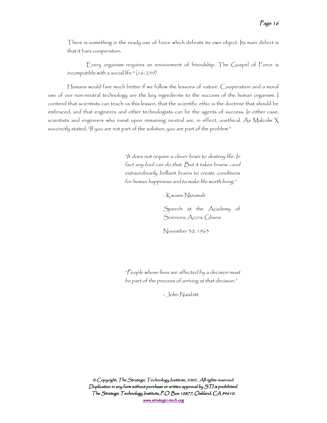There is something in the ready use of force which defeats its own object. Its main defect is that it bars cooperation.

Every organism requires an environment of friendship. The Gospel of Force is incompatible with a social life."  $(16:259)$ 

Humans would fare much better if we follow the lessons of nature. Cooperation and a moral use of our non-neutral technology are the key ingredients to the success of the human organism. I contend that scientists can teach us this lesson, that the scientific ethic is the doctrine that should be embraced, and that engineers and other technologists can be the agents of success. In either case, scientists and engineers who insist upon remaining neutral are, in effect, unethical. As Malcolm X succinctly stated, "If you are not part of the solution, you are part of the problem."

> "It does not require a clever brain to destroy life. In fact any fool can do that. But it takes brains –and extraordinarily brilliant brains to create conditions for human happiness and to make life worth living."

> > - Kwame Nkrumah

Speech at the Academy of Sciences, Accra, Ghana

November 30, 1963

"People whose lives are affected by a decision must be part of the process of arriving at that decision."

- John Naisbitt